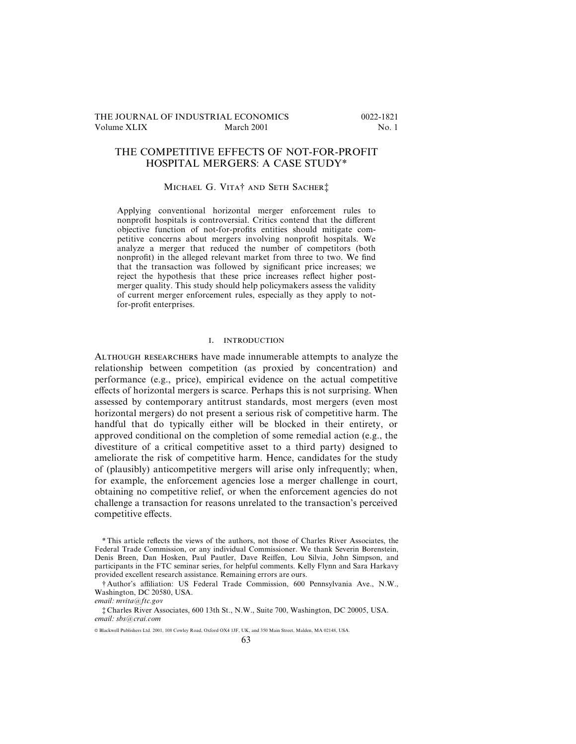# THE COMPETITIVE EFFECTS OF NOT-FOR-PROFIT HOSPITAL MERGERS: A CASE STUDY\*

### MICHAEL G. VITA<sup>†</sup> AND SETH SACHER<sup>†</sup>

Applying conventional horizontal merger enforcement rules to nonprofit hospitals is controversial. Critics contend that the different objective function of not-for-profits entities should mitigate competitive concerns about mergers involving nonprofit hospitals. We analyze a merger that reduced the number of competitors (both nonprofit) in the alleged relevant market from three to two. We find that the transaction was followed by significant price increases; we reject the hypothesis that these price increases reflect higher postmerger quality. This study should help policymakers assess the validity of current merger enforcement rules, especially as they apply to notfor-profit enterprises.

### i. introduction

Although researchers have made innumerable attempts to analyze the relationship between competition (as proxied by concentration) and performance (e.g., price), empirical evidence on the actual competitive effects of horizontal mergers is scarce. Perhaps this is not surprising. When assessed by contemporary antitrust standards, most mergers (even most horizontal mergers) do not present a serious risk of competitive harm. The handful that do typically either will be blocked in their entirety, or approved conditional on the completion of some remedial action (e.g., the divestiture of a critical competitive asset to a third party) designed to ameliorate the risk of competitive harm. Hence, candidates for the study of (plausibly) anticompetitive mergers will arise only infrequently; when, for example, the enforcement agencies lose a merger challenge in court, obtaining no competitive relief, or when the enforcement agencies do not challenge a transaction for reasons unrelated to the transaction's perceived competitive effects.

\* This article re£ects the views of the authors, not those of Charles River Associates, the Federal Trade Commission, or any individual Commissioner. We thank Severin Borenstein, Denis Breen, Dan Hosken, Paul Pautler, Dave Reiffen, Lou Silvia, John Simpson, and participants in the FTC seminar series, for helpful comments. Kelly Flynn and Sara Harkavy provided excellent research assistance. Remaining errors are ours.

{ Author's a¤liation: US Federal Trade Commission, 600 Pennsylvania Ave., N.W., Washington, DC 20580, USA.

{ Charles River Associates, 600 13th St., N.W., Suite 700, Washington, DC 20005, USA. email: sbs@crai.com

ß Blackwell Publishers Ltd. 2001, 108 Cowley Road, Oxford OX4 1JF, UK, and 350 Main Street, Malden, MA 02148, USA.

email: mvita@ftc.gov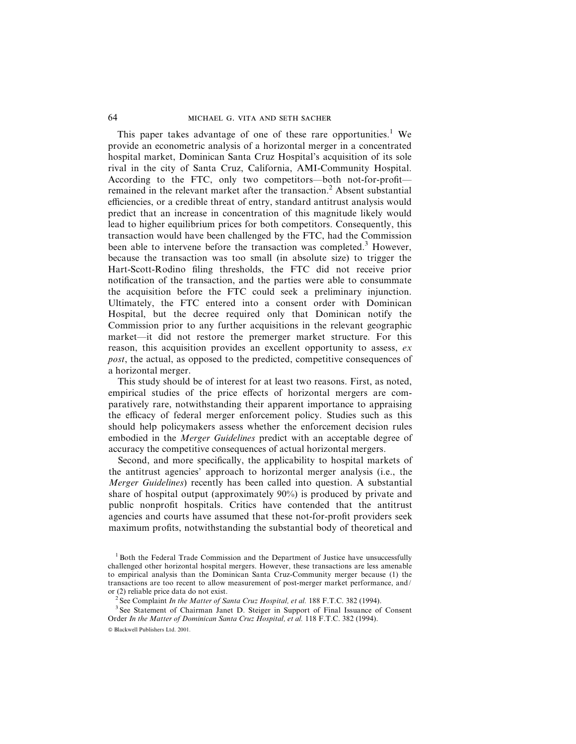This paper takes advantage of one of these rare opportunities.<sup>1</sup> We provide an econometric analysis of a horizontal merger in a concentrated hospital market, Dominican Santa Cruz Hospital's acquisition of its sole rival in the city of Santa Cruz, California, AMI-Community Hospital. According to the FTC, only two competitors—both not-for-profit remained in the relevant market after the transaction. <sup>2</sup> Absent substantial efficiencies, or a credible threat of entry, standard antitrust analysis would predict that an increase in concentration of this magnitude likely would lead to higher equilibrium prices for both competitors. Consequently, this transaction would have been challenged by the FTC, had the Commission been able to intervene before the transaction was completed.<sup>3</sup> However, because the transaction was too small (in absolute size) to trigger the Hart-Scott-Rodino filing thresholds, the FTC did not receive prior notification of the transaction, and the parties were able to consummate the acquisition before the FTC could seek a preliminary injunction. Ultimately, the FTC entered into a consent order with Dominican Hospital, but the decree required only that Dominican notify the Commission prior to any further acquisitions in the relevant geographic market—it did not restore the premerger market structure. For this reason, this acquisition provides an excellent opportunity to assess, ex post, the actual, as opposed to the predicted, competitive consequences of a horizontal merger.

This study should be of interest for at least two reasons. First, as noted, empirical studies of the price effects of horizontal mergers are comparatively rare, notwithstanding their apparent importance to appraising the efficacy of federal merger enforcement policy. Studies such as this should help policymakers assess whether the enforcement decision rules embodied in the *Merger Guidelines* predict with an acceptable degree of accuracy the competitive consequences of actual horizontal mergers.

Second, and more specifically, the applicability to hospital markets of the antitrust agencies' approach to horizontal merger analysis (i.e., the Merger Guidelines) recently has been called into question. A substantial share of hospital output (approximately 90%) is produced by private and public nonpro¢t hospitals. Critics have contended that the antitrust agencies and courts have assumed that these not-for-profit providers seek maximum profits, notwithstanding the substantial body of theoretical and

<sup>&</sup>lt;sup>1</sup> Both the Federal Trade Commission and the Department of Justice have unsuccessfully challenged other horizontal hospital mergers. However, these transactions are less amenable to empirical analysis than the Dominican Santa Cruz-Community merger because (1) the transactions are too recent to allow measurement of post-merger market performance, and/ or (2) reliable price data do not exist.

<sup>&</sup>lt;sup>2</sup> See Complaint *In the Matter of Santa Cruz Hospital, et al.* 188 F.T.C. 382 (1994). <sup>3</sup> See Statement of Chairman Janet D. Steiger in Support of Final Issuance of Consent

Order In the Matter of Dominican Santa Cruz Hospital, et al. 118 F.T.C. 382 (1994).

ß Blackwell Publishers Ltd. 2001.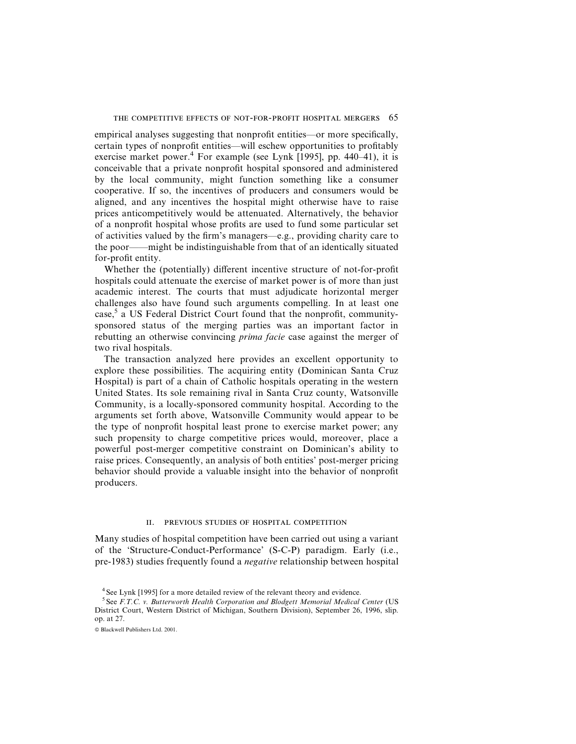empirical analyses suggesting that nonprofit entities—or more specifically, certain types of nonprofit entities—will eschew opportunities to profitably exercise market power.<sup>4</sup> For example (see Lynk [1995], pp. 440–41), it is conceivable that a private nonprofit hospital sponsored and administered by the local community, might function something like a consumer cooperative. If so, the incentives of producers and consumers would be aligned, and any incentives the hospital might otherwise have to raise prices anticompetitively would be attenuated. Alternatively, the behavior of a nonpro¢t hospital whose pro¢ts are used to fund some particular set of activities valued by the firm's managers—e.g., providing charity care to the poor—might be indistinguishable from that of an identically situated for-profit entity.

Whether the (potentially) different incentive structure of not-for-profit hospitals could attenuate the exercise of market power is of more than just academic interest. The courts that must adjudicate horizontal merger challenges also have found such arguments compelling. In at least one case,<sup>5</sup> a US Federal District Court found that the nonprofit, communitysponsored status of the merging parties was an important factor in rebutting an otherwise convincing prima facie case against the merger of two rival hospitals.

The transaction analyzed here provides an excellent opportunity to explore these possibilities. The acquiring entity (Dominican Santa Cruz Hospital) is part of a chain of Catholic hospitals operating in the western United States. Its sole remaining rival in Santa Cruz county, Watsonville Community, is a locally-sponsored community hospital. According to the arguments set forth above, Watsonville Community would appear to be the type of nonprofit hospital least prone to exercise market power; any such propensity to charge competitive prices would, moreover, place a powerful post-merger competitive constraint on Dominican's ability to raise prices. Consequently, an analysis of both entities' post-merger pricing behavior should provide a valuable insight into the behavior of nonprofit producers.

### ii. previous studies of hospital competition

Many studies of hospital competition have been carried out using a variant of the `Structure-Conduct-Performance' (S-C-P) paradigm. Early (i.e., pre-1983) studies frequently found a negative relationship between hospital

<sup>&</sup>lt;sup>4</sup> See Lynk [1995] for a more detailed review of the relevant theory and evidence.<br><sup>5</sup> See *F.T.C. v. Butterworth Health Corporation and Blodgett Memorial Medical Center* (US District Court, Western District of Michigan, Southern Division), September 26, 1996, slip. op. at 27.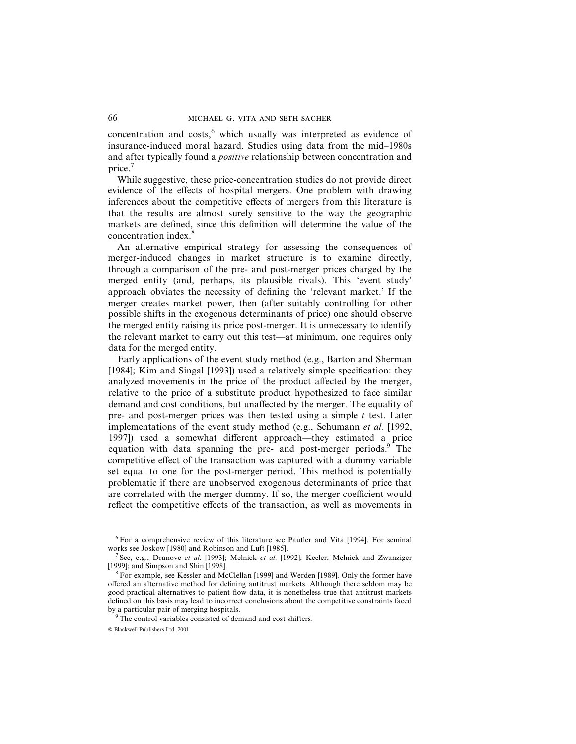concentration and costs, <sup>6</sup> which usually was interpreted as evidence of insurance-induced moral hazard. Studies using data from the mid^1980s and after typically found a positive relationship between concentration and price. 7

While suggestive, these price-concentration studies do not provide direct evidence of the effects of hospital mergers. One problem with drawing inferences about the competitive effects of mergers from this literature is that the results are almost surely sensitive to the way the geographic markets are defined, since this definition will determine the value of the concentration index. 8

An alternative empirical strategy for assessing the consequences of merger-induced changes in market structure is to examine directly, through a comparison of the pre- and post-merger prices charged by the merged entity (and, perhaps, its plausible rivals). This `event study' approach obviates the necessity of defining the 'relevant market.' If the merger creates market power, then (after suitably controlling for other possible shifts in the exogenous determinants of price) one should observe the merged entity raising its price post-merger. It is unnecessary to identify the relevant market to carry out this test—at minimum, one requires only data for the merged entity.

Early applications of the event study method (e.g., Barton and Sherman [1984]; Kim and Singal [1993]) used a relatively simple specification: they analyzed movements in the price of the product affected by the merger, relative to the price of a substitute product hypothesized to face similar demand and cost conditions, but unaffected by the merger. The equality of pre- and post-merger prices was then tested using a simple  $t$  test. Later implementations of the event study method (e.g., Schumann et al. [1992, 1997]) used a somewhat different approach—they estimated a price equation with data spanning the pre- and post-merger periods.<sup>9</sup> The competitive effect of the transaction was captured with a dummy variable set equal to one for the post-merger period. This method is potentially problematic if there are unobserved exogenous determinants of price that are correlated with the merger dummy. If so, the merger coefficient would reflect the competitive effects of the transaction, as well as movements in

 $6$  For a comprehensive review of this literature see Pautler and Vita [1994]. For seminal works see Joskow [1980] and Robinson and Luft [1985].

<sup>&</sup>lt;sup>7</sup> See, e.g., Dranove *et al.* [1993]; Melnick *et al.* [1992]; Keeler, Melnick and Zwanziger [1999]; and Simpson and Shin [1998].

 $8$  For example, see Kessler and McClellan [1999] and Werden [1989]. Only the former have offered an alternative method for defining antitrust markets. Although there seldom may be good practical alternatives to patient flow data, it is nonetheless true that antitrust markets defined on this basis may lead to incorrect conclusions about the competitive constraints faced by a particular pair of merging hospitals.<br><sup>9</sup> The control variables consisted of demand and cost shifters.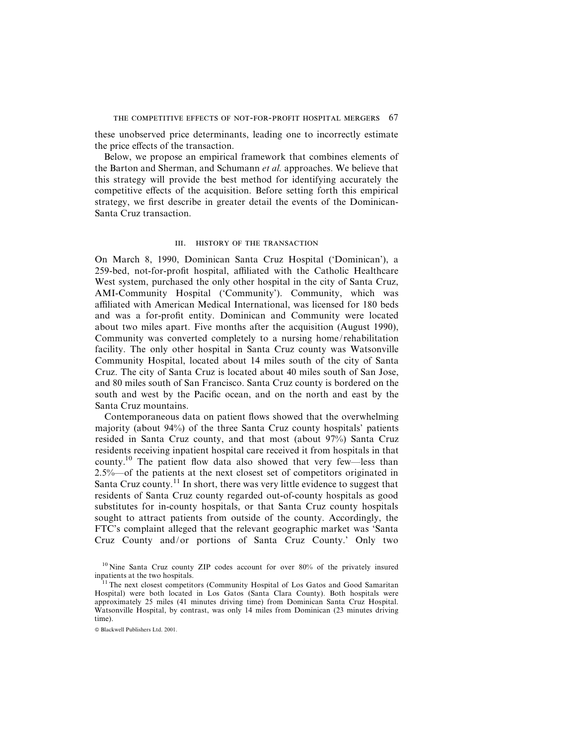these unobserved price determinants, leading one to incorrectly estimate the price effects of the transaction.

Below, we propose an empirical framework that combines elements of the Barton and Sherman, and Schumann et al. approaches. We believe that this strategy will provide the best method for identifying accurately the competitive effects of the acquisition. Before setting forth this empirical strategy, we first describe in greater detail the events of the Dominican-Santa Cruz transaction.

### III. HISTORY OF THE TRANSACTION

On March 8, 1990, Dominican Santa Cruz Hospital (`Dominican'), a 259-bed, not-for-profit hospital, affiliated with the Catholic Healthcare West system, purchased the only other hospital in the city of Santa Cruz, AMI-Community Hospital ('Community'). Community, which was affiliated with American Medical International, was licensed for 180 beds and was a for-profit entity. Dominican and Community were located about two miles apart. Five months after the acquisition (August 1990), Community was converted completely to a nursing home/rehabilitation facility. The only other hospital in Santa Cruz county was Watsonville Community Hospital, located about 14 miles south of the city of Santa Cruz. The city of Santa Cruz is located about 40 miles south of San Jose, and 80 miles south of San Francisco. Santa Cruz county is bordered on the south and west by the Pacific ocean, and on the north and east by the Santa Cruz mountains.

Contemporaneous data on patient flows showed that the overwhelming majority (about 94%) of the three Santa Cruz county hospitals' patients resided in Santa Cruz county, and that most (about 97%) Santa Cruz residents receiving inpatient hospital care received it from hospitals in that county.<sup>10</sup> The patient flow data also showed that very few—less than  $2.5\%$ —of the patients at the next closest set of competitors originated in Santa Cruz county.<sup>11</sup> In short, there was very little evidence to suggest that residents of Santa Cruz county regarded out-of-county hospitals as good substitutes for in-county hospitals, or that Santa Cruz county hospitals sought to attract patients from outside of the county. Accordingly, the FTC's complaint alleged that the relevant geographic market was `Santa Cruz County and/or portions of Santa Cruz County.' Only two

 $10$  Nine Santa Cruz county ZIP codes account for over 80% of the privately insured inpatients at the two hospitals.

<sup>&</sup>lt;sup>11</sup> The next closest competitors (Community Hospital of Los Gatos and Good Samaritan Hospital) were both located in Los Gatos (Santa Clara County). Both hospitals were approximately 25 miles (41 minutes driving time) from Dominican Santa Cruz Hospital. Watsonville Hospital, by contrast, was only 14 miles from Dominican (23 minutes driving time).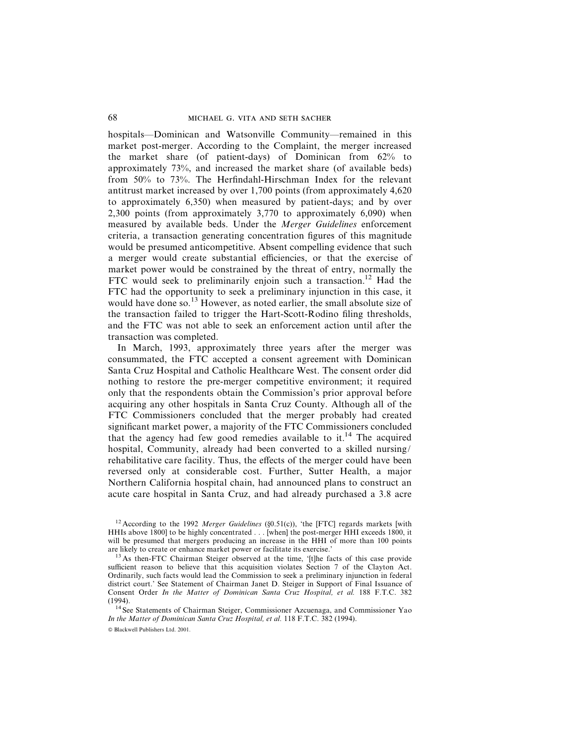hospitals—Dominican and Watsonville Community—remained in this market post-merger. According to the Complaint, the merger increased the market share (of patient-days) of Dominican from 62% to approximately 73%, and increased the market share (of available beds) from 50% to 73%. The Herfindahl-Hirschman Index for the relevant antitrust market increased by over 1,700 points (from approximately 4,620 to approximately 6,350) when measured by patient-days; and by over 2,300 points (from approximately 3,770 to approximately 6,090) when measured by available beds. Under the Merger Guidelines enforcement criteria, a transaction generating concentration figures of this magnitude would be presumed anticompetitive. Absent compelling evidence that such a merger would create substantial efficiencies, or that the exercise of market power would be constrained by the threat of entry, normally the FTC would seek to preliminarily enjoin such a transaction.<sup>12</sup> Had the FTC had the opportunity to seek a preliminary injunction in this case, it would have done so.<sup>13</sup> However, as noted earlier, the small absolute size of the transaction failed to trigger the Hart-Scott-Rodino filing thresholds, and the FTC was not able to seek an enforcement action until after the transaction was completed.

In March, 1993, approximately three years after the merger was consummated, the FTC accepted a consent agreement with Dominican Santa Cruz Hospital and Catholic Healthcare West. The consent order did nothing to restore the pre-merger competitive environment; it required only that the respondents obtain the Commission's prior approval before acquiring any other hospitals in Santa Cruz County. Although all of the FTC Commissioners concluded that the merger probably had created significant market power, a majority of the FTC Commissioners concluded that the agency had few good remedies available to it.<sup>14</sup> The acquired hospital, Community, already had been converted to a skilled nursing/ rehabilitative care facility. Thus, the effects of the merger could have been reversed only at considerable cost. Further, Sutter Health, a major Northern California hospital chain, had announced plans to construct an acute care hospital in Santa Cruz, and had already purchased a 3.8 acre

<sup>12</sup> According to the 1992 *Merger Guidelines* ( $\S 0.51(c)$ ), 'the [FTC] regards markets [with HHIs above 1800] to be highly concentrated . . . [when] the post-merger HHI exceeds 1800, it will be presumed that mergers producing an increase in the HHI of more than 100 points are likely to create or enhance market power or facilitate its exercise.'

<sup>13</sup> As then-FTC Chairman Steiger observed at the time, '[t]he facts of this case provide sufficient reason to believe that this acquisition violates Section 7 of the Clayton Act. Ordinarily, such facts would lead the Commission to seek a preliminary injunction in federal district court.' See Statement of Chairman Janet D. Steiger in Support of Final Issuance of Consent Order In the Matter of Dominican Santa Cruz Hospital, et al. 188 F.T.C. 382 (1994).  $14$  See Statements of Chairman Steiger, Commissioner Azcuenaga, and Commissioner Yao

In the Matter of Dominican Santa Cruz Hospital, et al. 118 F.T.C. 382 (1994).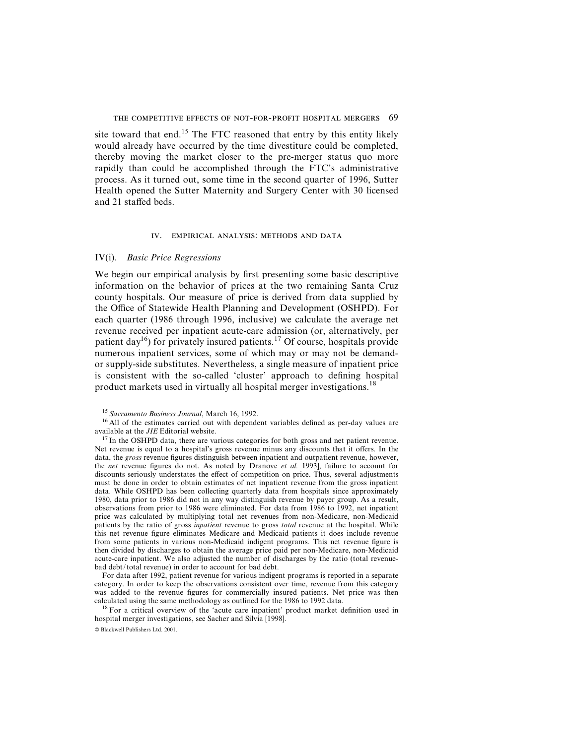site toward that end.<sup>15</sup> The FTC reasoned that entry by this entity likely would already have occurred by the time divestiture could be completed, thereby moving the market closer to the pre-merger status quo more rapidly than could be accomplished through the FTC's administrative process. As it turned out, some time in the second quarter of 1996, Sutter Health opened the Sutter Maternity and Surgery Center with 30 licensed and 21 staffed beds.

## iv. empirical analysis: methods and data

### IV(i). Basic Price Regressions

We begin our empirical analysis by first presenting some basic descriptive information on the behavior of prices at the two remaining Santa Cruz county hospitals. Our measure of price is derived from data supplied by the Office of Statewide Health Planning and Development (OSHPD). For each quarter (1986 through 1996, inclusive) we calculate the average net revenue received per inpatient acute-care admission (or, alternatively, per patient day<sup>16</sup>) for privately insured patients.<sup>17</sup> Of course, hospitals provide numerous inpatient services, some of which may or may not be demandor supply-side substitutes. Nevertheless, a single measure of inpatient price is consistent with the so-called 'cluster' approach to defining hospital product markets used in virtually all hospital merger investigations.<sup>18</sup>

<sup>15</sup> Sacramento Business Journal, March 16, 1992.

<sup>16</sup> All of the estimates carried out with dependent variables defined as per-day values are available at the JIE Editorial website.

 $17$  In the OSHPD data, there are various categories for both gross and net patient revenue. Net revenue is equal to a hospital's gross revenue minus any discounts that it offers. In the data, the gross revenue figures distinguish between inpatient and outpatient revenue, however, the *net* revenue figures do not. As noted by Dranove *et al.* 1993], failure to account for discounts seriously understates the effect of competition on price. Thus, several adjustments must be done in order to obtain estimates of net inpatient revenue from the gross inpatient data. While OSHPD has been collecting quarterly data from hospitals since approximately 1980, data prior to 1986 did not in any way distinguish revenue by payer group. As a result, observations from prior to 1986 were eliminated. For data from 1986 to 1992, net inpatient price was calculated by multiplying total net revenues from non-Medicare, non-Medicaid patients by the ratio of gross *inpatient* revenue to gross *total* revenue at the hospital. While this net revenue figure eliminates Medicare and Medicaid patients it does include revenue from some patients in various non-Medicaid indigent programs. This net revenue figure is then divided by discharges to obtain the average price paid per non-Medicare, non-Medicaid acute-care inpatient. We also adjusted the number of discharges by the ratio (total revenuebad debt/total revenue) in order to account for bad debt.

For data after 1992, patient revenue for various indigent programs is reported in a separate category. In order to keep the observations consistent over time, revenue from this category was added to the revenue figures for commercially insured patients. Net price was then calculated using the same methodology as outlined for the 1986 to 1992 data.

 $18$  For a critical overview of the 'acute care inpatient' product market definition used in hospital merger investigations, see Sacher and Silvia [1998].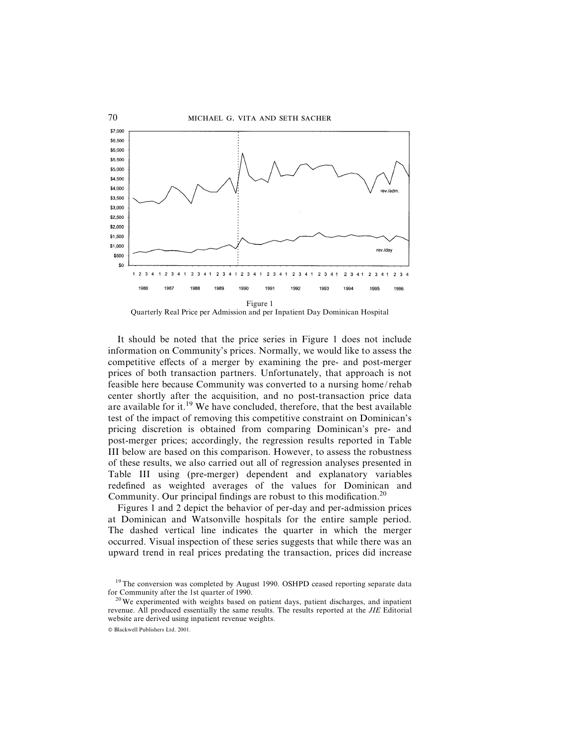

Quarterly Real Price per Admission and per Inpatient Day Dominican Hospital

It should be noted that the price series in Figure 1 does not include information on Community's prices. Normally, we would like to assess the competitive effects of a merger by examining the pre- and post-merger prices of both transaction partners. Unfortunately, that approach is not feasible here because Community was converted to a nursing home/rehab center shortly after the acquisition, and no post-transaction price data are available for it.<sup>19</sup> We have concluded, therefore, that the best available test of the impact of removing this competitive constraint on Dominican's pricing discretion is obtained from comparing Dominican's pre- and post-merger prices; accordingly, the regression results reported in Table III below are based on this comparison. However, to assess the robustness of these results, we also carried out all of regression analyses presented in Table III using (pre-merger) dependent and explanatory variables redefined as weighted averages of the values for Dominican and Community. Our principal findings are robust to this modification.<sup>20</sup>

Figures 1 and 2 depict the behavior of per-day and per-admission prices at Dominican and Watsonville hospitals for the entire sample period. The dashed vertical line indicates the quarter in which the merger occurred. Visual inspection of these series suggests that while there was an upward trend in real prices predating the transaction, prices did increase

 $19$ <sup>19</sup> The conversion was completed by August 1990. OSHPD ceased reporting separate data for Community after the 1st quarter of 1990.

 $20$  We experimented with weights based on patient days, patient discharges, and inpatient revenue. All produced essentially the same results. The results reported at the JIE Editorial website are derived using inpatient revenue weights.

ß Blackwell Publishers Ltd. 2001.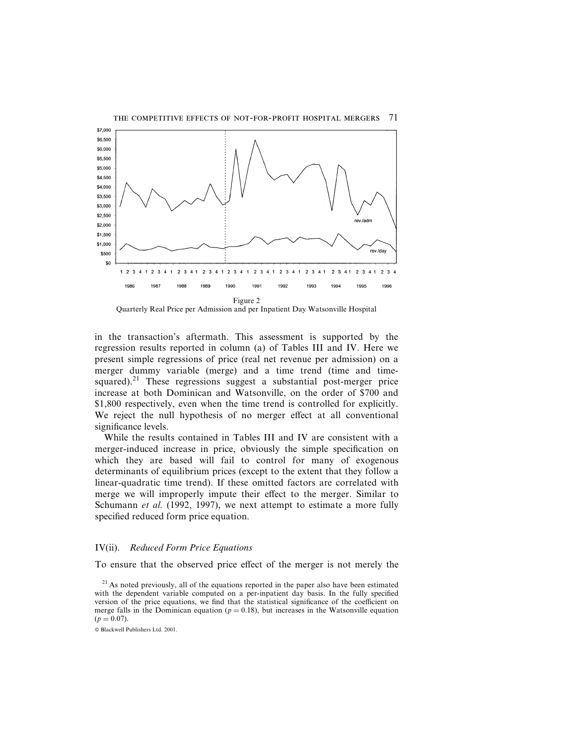

Quarterly Real Price per Admission and per Inpatient Day Watsonville Hospital

in the transaction's aftermath. This assessment is supported by the regression results reported in column (a) of Tables III and IV. Here we present simple regressions of price (real net revenue per admission) on a merger dummy variable (merge) and a time trend (time and timesquared).<sup>21</sup> These regressions suggest a substantial post-merger price increase at both Dominican and Watsonville, on the order of \$700 and \$1,800 respectively, even when the time trend is controlled for explicitly. We reject the null hypothesis of no merger effect at all conventional significance levels.

While the results contained in Tables III and IV are consistent with a merger-induced increase in price, obviously the simple specification on which they are based will fail to control for many of exogenous determinants of equilibrium prices (except to the extent that they follow a linear-quadratic time trend). If these omitted factors are correlated with merge we will improperly impute their effect to the merger. Similar to Schumann et al. (1992, 1997), we next attempt to estimate a more fully specified reduced form price equation.

### IV(ii). Reduced Form Price Equations

To ensure that the observed price effect of the merger is not merely the

 $21$  As noted previously, all of the equations reported in the paper also have been estimated with the dependent variable computed on a per-inpatient day basis. In the fully specified version of the price equations, we find that the statistical significance of the coefficient on merge falls in the Dominican equation ( $p = 0.18$ ), but increases in the Watsonville equation  $(p = 0.07)$ .

ß Blackwell Publishers Ltd. 2001.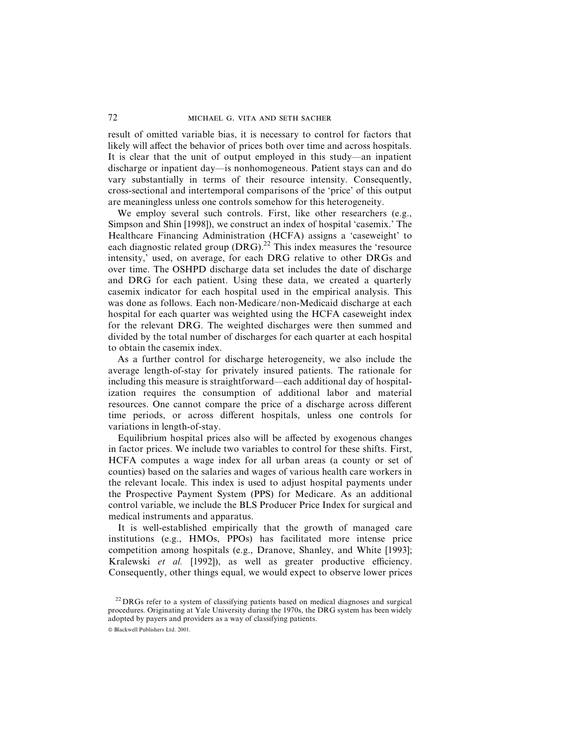result of omitted variable bias, it is necessary to control for factors that likely will affect the behavior of prices both over time and across hospitals. It is clear that the unit of output employed in this study—an inpatient discharge or inpatient day—is nonhomogeneous. Patient stays can and do vary substantially in terms of their resource intensity. Consequently, cross-sectional and intertemporal comparisons of the `price' of this output are meaningless unless one controls somehow for this heterogeneity.

We employ several such controls. First, like other researchers (e.g., Simpson and Shin [1998]), we construct an index of hospital 'casemix.' The Healthcare Financing Administration (HCFA) assigns a 'caseweight' to each diagnostic related group  $(DRG)$ .<sup>22</sup> This index measures the 'resource intensity,' used, on average, for each DRG relative to other DRGs and over time. The OSHPD discharge data set includes the date of discharge and DRG for each patient. Using these data, we created a quarterly casemix indicator for each hospital used in the empirical analysis. This was done as follows. Each non-Medicare/non-Medicaid discharge at each hospital for each quarter was weighted using the HCFA caseweight index for the relevant DRG. The weighted discharges were then summed and divided by the total number of discharges for each quarter at each hospital to obtain the casemix index.

As a further control for discharge heterogeneity, we also include the average length-of-stay for privately insured patients. The rationale for including this measure is straightforward—each additional day of hospitalization requires the consumption of additional labor and material resources. One cannot compare the price of a discharge across different time periods, or across different hospitals, unless one controls for variations in length-of-stay.

Equilibrium hospital prices also will be affected by exogenous changes in factor prices. We include two variables to control for these shifts. First, HCFA computes a wage index for all urban areas (a county or set of counties) based on the salaries and wages of various health care workers in the relevant locale. This index is used to adjust hospital payments under the Prospective Payment System (PPS) for Medicare. As an additional control variable, we include the BLS Producer Price Index for surgical and medical instruments and apparatus.

It is well-established empirically that the growth of managed care institutions (e.g., HMOs, PPOs) has facilitated more intense price competition among hospitals (e.g., Dranove, Shanley, and White [1993]; Kralewski et al.  $[1992]$ , as well as greater productive efficiency. Consequently, other things equal, we would expect to observe lower prices

 $22$  DRGs refer to a system of classifying patients based on medical diagnoses and surgical procedures. Originating at Yale University during the 1970s, the DRG system has been widely adopted by payers and providers as a way of classifying patients.

ß Blackwell Publishers Ltd. 2001.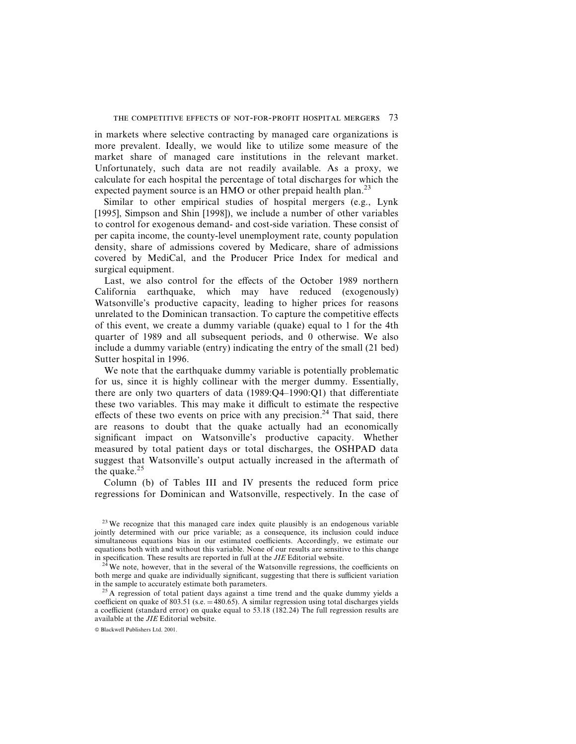in markets where selective contracting by managed care organizations is more prevalent. Ideally, we would like to utilize some measure of the market share of managed care institutions in the relevant market. Unfortunately, such data are not readily available. As a proxy, we calculate for each hospital the percentage of total discharges for which the expected payment source is an HMO or other prepaid health plan.<sup>23</sup>

Similar to other empirical studies of hospital mergers (e.g., Lynk [1995], Simpson and Shin [1998]), we include a number of other variables to control for exogenous demand- and cost-side variation. These consist of per capita income, the county-level unemployment rate, county population density, share of admissions covered by Medicare, share of admissions covered by MediCal, and the Producer Price Index for medical and surgical equipment.

Last, we also control for the effects of the October 1989 northern California earthquake, which may have reduced (exogenously) Watsonville's productive capacity, leading to higher prices for reasons unrelated to the Dominican transaction. To capture the competitive effects of this event, we create a dummy variable (quake) equal to 1 for the 4th quarter of 1989 and all subsequent periods, and 0 otherwise. We also include a dummy variable (entry) indicating the entry of the small (21 bed) Sutter hospital in 1996.

We note that the earthquake dummy variable is potentially problematic for us, since it is highly collinear with the merger dummy. Essentially, there are only two quarters of data  $(1989:Q4-1990:Q1)$  that differentiate these two variables. This may make it difficult to estimate the respective effects of these two events on price with any precision.<sup>24</sup> That said, there are reasons to doubt that the quake actually had an economically significant impact on Watsonville's productive capacity. Whether measured by total patient days or total discharges, the OSHPAD data suggest that Watsonville's output actually increased in the aftermath of the quake. 25

Column (b) of Tables III and IV presents the reduced form price regressions for Dominican and Watsonville, respectively. In the case of

<sup>23</sup> We recognize that this managed care index quite plausibly is an endogenous variable jointly determined with our price variable; as a consequence, its inclusion could induce simultaneous equations bias in our estimated coefficients. Accordingly, we estimate our equations both with and without this variable. None of our results are sensitive to this change in specification. These results are reported in full at the *JIE* Editorial website.

 $2^{\overline{4}}$  We note, however, that in the several of the Watsonville regressions, the coefficients on both merge and quake are individually significant, suggesting that there is sufficient variation in the sample to accurately estimate both parameters.

<sup>25</sup> A regression of total patient days against a time trend and the quake dummy yields a coefficient on quake of 803.51 (s.e.  $=$  480.65). A similar regression using total discharges yields a coefficient (standard error) on quake equal to  $53.18$  (182.24) The full regression results are available at the JIE Editorial website.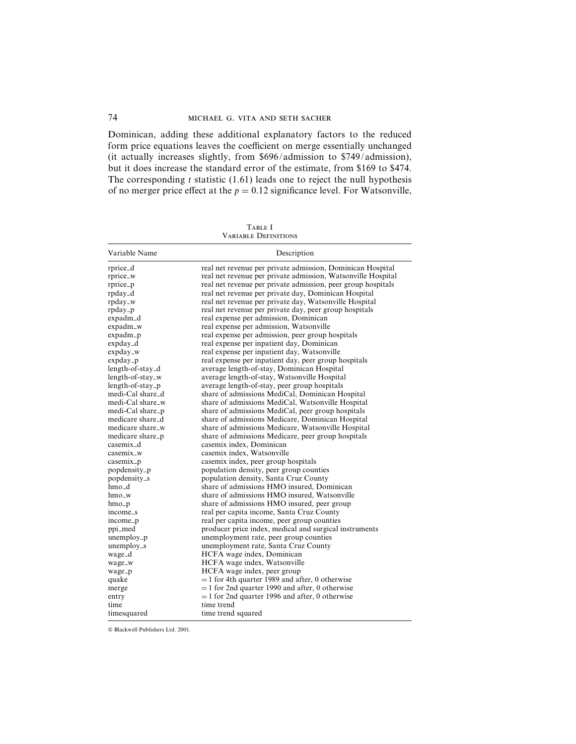Dominican, adding these additional explanatory factors to the reduced form price equations leaves the coefficient on merge essentially unchanged (it actually increases slightly, from \$696/admission to \$749/admission), but it does increase the standard error of the estimate, from \$169 to \$474. The corresponding  $t$  statistic (1.61) leads one to reject the null hypothesis of no merger price effect at the  $p = 0.12$  significance level. For Watsonville,

Table I Variable Definitions

| Variable Name      | Description                                                  |
|--------------------|--------------------------------------------------------------|
| rprice_d           | real net revenue per private admission, Dominican Hospital   |
| rprice_w           | real net revenue per private admission, Watsonville Hospital |
| rprice_p           | real net revenue per private admission, peer group hospitals |
| rpday_d            | real net revenue per private day, Dominican Hospital         |
| rpday_w            | real net revenue per private day, Watsonville Hospital       |
| $r$ pday_p         | real net revenue per private day, peer group hospitals       |
| expadm_d           | real expense per admission, Dominican                        |
| expadm_w           | real expense per admission, Watsonville                      |
| expadm_p           | real expense per admission, peer group hospitals             |
| expday_d           | real expense per inpatient day, Dominican                    |
| $expday_w$         | real expense per inpatient day, Watsonville                  |
| $expday_p$         | real expense per inpatient day, peer group hospitals         |
| length-of-stay_d   | average length-of-stay, Dominican Hospital                   |
| length-of-stay_w   | average length-of-stay, Watsonville Hospital                 |
| $length-of-stay_p$ | average length-of-stay, peer group hospitals                 |
| medi-Cal share_d   | share of admissions MediCal, Dominican Hospital              |
| medi-Cal share_w   | share of admissions MediCal, Watsonville Hospital            |
| medi-Cal share_p   | share of admissions MediCal, peer group hospitals            |
| medicare share_d   | share of admissions Medicare, Dominican Hospital             |
| medicare share_w   | share of admissions Medicare, Watsonville Hospital           |
| medicare share_p   | share of admissions Medicare, peer group hospitals           |
| casemix_d          | casemix index, Dominican                                     |
| casemix_w          | casemix index, Watsonville                                   |
| $casemix_p$        | casemix index, peer group hospitals                          |
| popdensity_p       | population density, peer group counties                      |
| popdensity_s       | population density, Santa Cruz County                        |
| hmo_d              | share of admissions HMO insured, Dominican                   |
| hmo_w              | share of admissions HMO insured, Watsonville                 |
| $h$ mo_p           | share of admissions HMO insured, peer group                  |
| income_s           | real per capita income, Santa Cruz County                    |
| income_p           | real per capita income, peer group counties                  |
| ppi_med            | producer price index, medical and surgical instruments       |
| unemploy_p         | unemployment rate, peer group counties                       |
| unemploy_s         | unemployment rate, Santa Cruz County                         |
| wage_d             | HCFA wage index, Dominican                                   |
| wage_w             | HCFA wage index, Watsonville                                 |
| wage_p             | HCFA wage index, peer group                                  |
| quake              | $=$ 1 for 4th quarter 1989 and after, 0 otherwise            |
| merge              | $=$ 1 for 2nd quarter 1990 and after, 0 otherwise            |
| entry              | $=$ 1 for 2nd quarter 1996 and after, 0 otherwise            |
| time               | time trend                                                   |
| timesquared        | time trend squared                                           |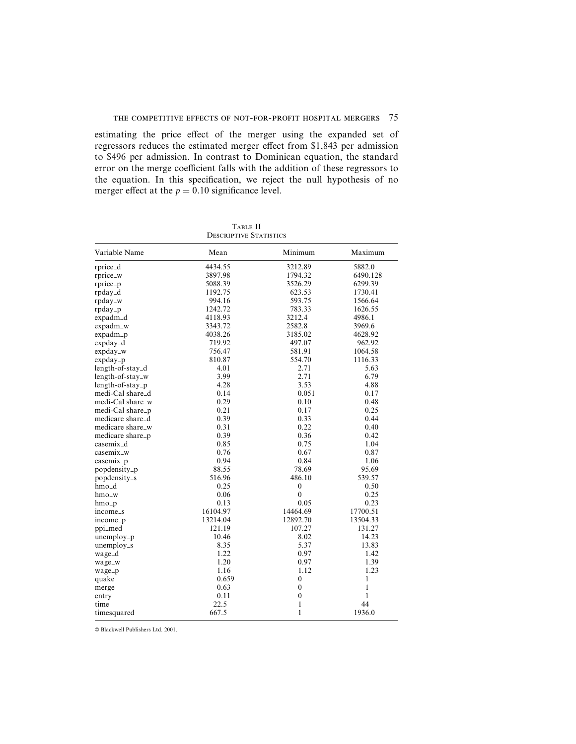estimating the price effect of the merger using the expanded set of regressors reduces the estimated merger effect from \$1,843 per admission to \$496 per admission. In contrast to Dominican equation, the standard error on the merge coefficient falls with the addition of these regressors to the equation. In this specification, we reject the null hypothesis of no merger effect at the  $p = 0.10$  significance level.

| <b>DESCRIPTIVE STATISTICS</b> |          |                  |              |
|-------------------------------|----------|------------------|--------------|
| Variable Name                 | Mean     | Minimum          | Maximum      |
| rprice_d                      | 4434.55  | 3212.89          | 5882.0       |
| rprice_w                      | 3897.98  | 1794.32          | 6490.128     |
| rprice_p                      | 5088.39  | 3526.29          | 6299.39      |
| rpday_d                       | 1192.75  | 623.53           | 1730.41      |
| rpday_w                       | 994.16   | 593.75           | 1566.64      |
| rpday_p                       | 1242.72  | 783.33           | 1626.55      |
| expadm_d                      | 4118.93  | 3212.4           | 4986.1       |
| expadm_w                      | 3343.72  | 2582.8           | 3969.6       |
| expadm_p                      | 4038.26  | 3185.02          | 4628.92      |
| $expday_d$                    | 719.92   | 497.07           | 962.92       |
| $expday_w$                    | 756.47   | 581.91           | 1064.58      |
| expday_p                      | 810.87   | 554.70           | 1116.33      |
| length-of-stay_d              | 4.01     | 2.71             | 5.63         |
| length-of-stay_w              | 3.99     | 2.71             | 6.79         |
| length-of-stay_p              | 4.28     | 3.53             | 4.88         |
| medi-Cal share_d              | 0.14     | 0.051            | 0.17         |
| medi-Cal share_w              | 0.29     | 0.10             | 0.48         |
| medi-Cal share_p              | 0.21     | 0.17             | 0.25         |
| medicare share_d              | 0.39     | 0.33             | 0.44         |
| medicare share_w              | 0.31     | 0.22             | 0.40         |
| medicare share_p              | 0.39     | 0.36             | 0.42         |
| casemix_d                     | 0.85     | 0.75             | 1.04         |
| casemix_w                     | 0.76     | 0.67             | 0.87         |
| casemix_p                     | 0.94     | 0.84             | 1.06         |
| popdensity_p                  | 88.55    | 78.69            | 95.69        |
| popdensity_s                  | 516.96   | 486.10           | 539.57       |
| hmo_d                         | 0.25     | 0                | 0.50         |
| hmo_w                         | 0.06     | $\mathbf{0}$     | 0.25         |
| $hmo_p$                       | 0.13     | 0.05             | 0.23         |
| income_s                      | 16104.97 | 14464.69         | 17700.51     |
| income_p                      | 13214.04 | 12892.70         | 13504.33     |
| ppi_med                       | 121.19   | 107.27           | 131.27       |
| $unempty_p$                   | 10.46    | 8.02             | 14.23        |
| unemploy_s                    | 8.35     | 5.37             | 13.83        |
| wage_d                        | 1.22     | 0.97             | 1.42         |
| wage_w                        | 1.20     | 0.97             | 1.39         |
| wage_p                        | 1.16     | 1.12             | 1.23         |
| quake                         | 0.659    | $\boldsymbol{0}$ | $\mathbf{1}$ |
| merge                         | 0.63     | $\overline{0}$   | $\mathbf{1}$ |
| entry                         | 0.11     | $\boldsymbol{0}$ | $\mathbf{1}$ |
| time                          | 22.5     | 1                | 44           |
| timesquared                   | 667.5    | 1                | 1936.0       |

TABLE II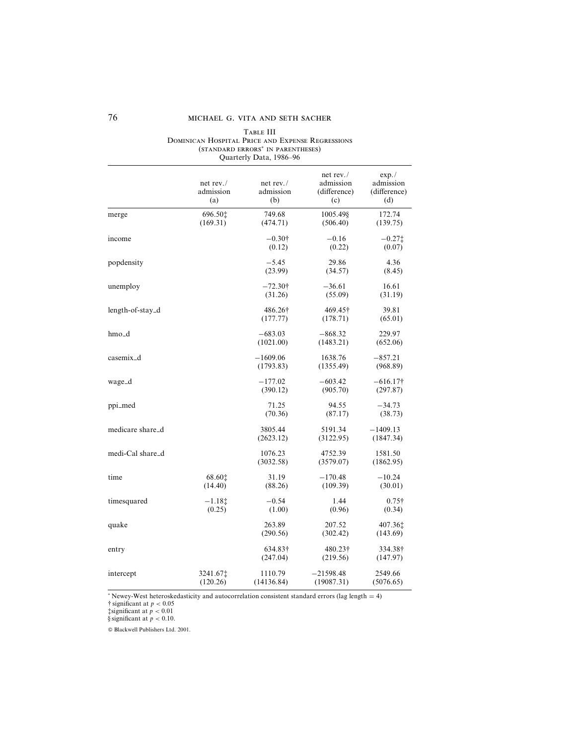## 76 michael g. vita and seth sacher

|                  | net rev./<br>admission<br>(a) | net rev./<br>admission<br>(b) | net rev./<br>admission<br>(difference)<br>(c) | exp. /<br>admission<br>(difference)<br>(d) |
|------------------|-------------------------------|-------------------------------|-----------------------------------------------|--------------------------------------------|
| merge            | 696.501<br>(169.31)           | 749.68<br>(474.71)            | 1005.498<br>(506.40)                          | 172.74<br>(139.75)                         |
| income           |                               | $-0.30\dagger$<br>(0.12)      | $-0.16$<br>(0.22)                             | $-0.27$ t<br>(0.07)                        |
| popdensity       |                               | $-5.45$<br>(23.99)            | 29.86<br>(34.57)                              | 4.36<br>(8.45)                             |
| unemploy         |                               | $-72.30\dagger$<br>(31.26)    | $-36.61$<br>(55.09)                           | 16.61<br>(31.19)                           |
| length-of-stay_d |                               | 486.261<br>(177.77)           | 469.45†<br>(178.71)                           | 39.81<br>(65.01)                           |
| hmo_d            |                               | $-683.03$<br>(1021.00)        | $-868.32$<br>(1483.21)                        | 229.97<br>(652.06)                         |
| casemix_d        |                               | $-1609.06$<br>(1793.83)       | 1638.76<br>(1355.49)                          | $-857.21$<br>(968.89)                      |
| wage_d           |                               | $-177.02$<br>(390.12)         | $-603.42$<br>(905.70)                         | $-616.17\dagger$<br>(297.87)               |
| ppi_med          |                               | 71.25<br>(70.36)              | 94.55<br>(87.17)                              | $-34.73$<br>(38.73)                        |
| medicare share_d |                               | 3805.44<br>(2623.12)          | 5191.34<br>(3122.95)                          | $-1409.13$<br>(1847.34)                    |
| medi-Cal share_d |                               | 1076.23<br>(3032.58)          | 4752.39<br>(3579.07)                          | 1581.50<br>(1862.95)                       |
| time             | 68.601<br>(14.40)             | 31.19<br>(88.26)              | $-170.48$<br>(109.39)                         | $-10.24$<br>(30.01)                        |
| timesquared      | $-1.181$<br>(0.25)            | $-0.54$<br>(1.00)             | 1.44<br>(0.96)                                | $0.75\dagger$<br>(0.34)                    |
| quake            |                               | 263.89<br>(290.56)            | 207.52<br>(302.42)                            | 407.36t<br>(143.69)                        |
| entry            |                               | 634.83†<br>(247.04)           | 480.23†<br>(219.56)                           | 334.38†<br>(147.97)                        |
| intercept        | 3241.671<br>(120.26)          | 1110.79<br>(14136.84)         | $-21598.48$<br>(19087.31)                     | 2549.66<br>(5076.65)                       |

#### Table III Dominican Hospital Price and Expense Regressions (standard errors in parentheses) Quarterly Data, 1986^96

\* Newey-West heteroskedasticity and autocorrelation consistent standard errors (lag length  $= 4$ )

† significant at  $p < 0.05$ <br>‡significant at  $p < 0.01$ 

 $\frac{1}{8}$  significant at  $p < 0.10$ .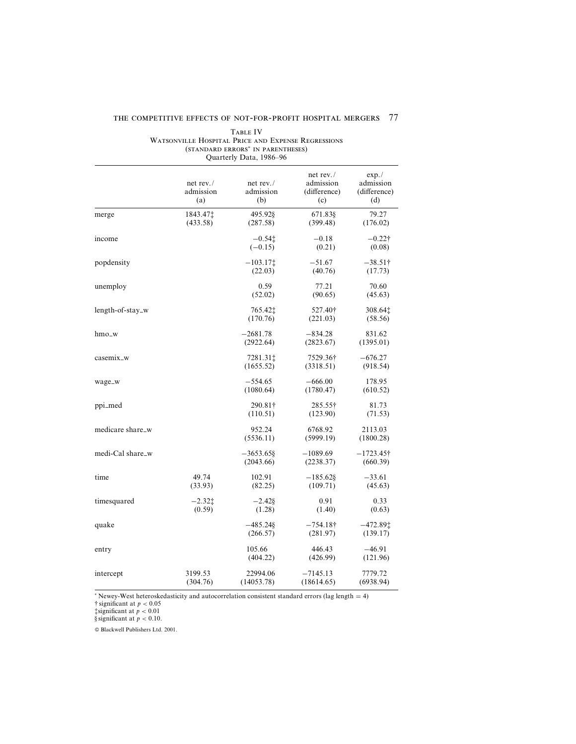|                  | net rev./<br>admission<br>(a) | net rev./<br>admission<br>(b) | net rev. $\sqrt{ }$<br>admission<br>(difference)<br>(c) | exp. /<br>admission<br>(difference)<br>(d) |
|------------------|-------------------------------|-------------------------------|---------------------------------------------------------|--------------------------------------------|
| merge            | 1843.47:<br>(433.58)          | 495.92§<br>(287.58)           | 671.83§<br>(399.48)                                     | 79.27<br>(176.02)                          |
| income           |                               | $-0.54$ ‡<br>$(-0.15)$        | $-0.18$<br>(0.21)                                       | $-0.22\dagger$<br>(0.08)                   |
| popdensity       |                               | $-103.17$<br>(22.03)          | $-51.67$<br>(40.76)                                     | $-38.51\dagger$<br>(17.73)                 |
| unemploy         |                               | 0.59<br>(52.02)               | 77.21<br>(90.65)                                        | 70.60<br>(45.63)                           |
| length-of-stay_w |                               | 765.42:<br>(170.76)           | 527.40†<br>(221.03)                                     | 308.64‡<br>(58.56)                         |
| hmo_w            |                               | $-2681.78$<br>(2922.64)       | $-834.28$<br>(2823.67)                                  | 831.62<br>(1395.01)                        |
| casemix_w        |                               | 7281.31‡<br>(1655.52)         | 7529.36†<br>(3318.51)                                   | $-676.27$<br>(918.54)                      |
| wage_w           |                               | $-554.65$<br>(1080.64)        | $-666.00$<br>(1780.47)                                  | 178.95<br>(610.52)                         |
| ppi_med          |                               | 290.81†<br>(110.51)           | 285.55†<br>(123.90)                                     | 81.73<br>(71.53)                           |
| medicare share_w |                               | 952.24<br>(5536.11)           | 6768.92<br>(5999.19)                                    | 2113.03<br>(1800.28)                       |
| medi-Cal share_w |                               | $-3653.65$ §<br>(2043.66)     | $-1089.69$<br>(2238.37)                                 | $-1723.45\dagger$<br>(660.39)              |
| time             | 49.74<br>(33.93)              | 102.91<br>(82.25)             | $-185.62$ §<br>(109.71)                                 | $-33.61$<br>(45.63)                        |
| timesquared      | $-2.321$<br>(0.59)            | $-2.42$ §<br>(1.28)           | 0.91<br>(1.40)                                          | 0.33<br>(0.63)                             |
| quake            |                               | $-485.248$<br>(266.57)        | $-754.18\dagger$<br>(281.97)                            | $-472.89t$<br>(139.17)                     |
| entry            |                               | 105.66<br>(404.22)            | 446.43<br>(426.99)                                      | $-46.91$<br>(121.96)                       |
| intercept        | 3199.53<br>(304.76)           | 22994.06<br>(14053.78)        | $-7145.13$<br>(18614.65)                                | 7779.72<br>(6938.94)                       |

#### Table IV Watsonville Hospital Price and Expense Regressions (standard errors in parentheses) Quarterly Data, 1986^96

\* Newey-West heteroskedasticity and autocorrelation consistent standard errors (lag length  $= 4$ )

 $\dagger$  significant at  $p < 0.05$ <br> $\ddagger$ significant at  $p < 0.01$ 

 $\frac{1}{8}$  significant at  $p < 0.10$ .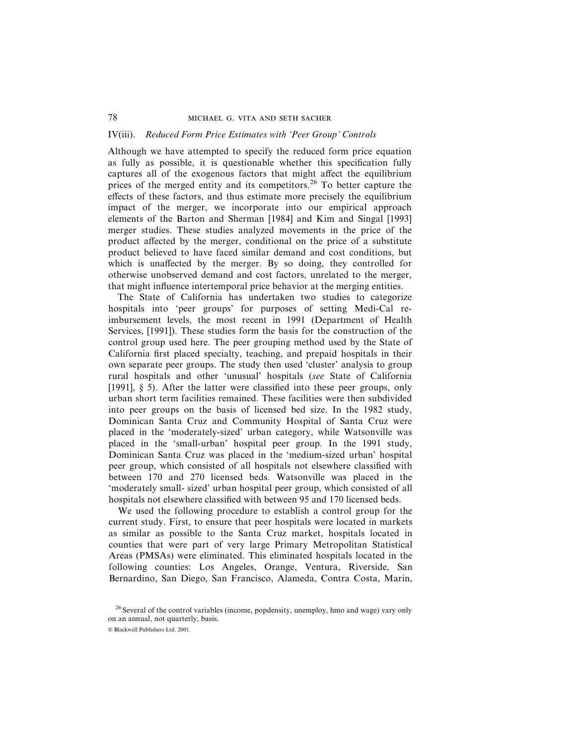### IV(iii). Reduced Form Price Estimates with `Peer Group' Controls

Although we have attempted to specify the reduced form price equation as fully as possible, it is questionable whether this specification fully captures all of the exogenous factors that might affect the equilibrium prices of the merged entity and its competitors.<sup>26</sup> To better capture the effects of these factors, and thus estimate more precisely the equilibrium impact of the merger, we incorporate into our empirical approach elements of the Barton and Sherman [1984] and Kim and Singal [1993] merger studies. These studies analyzed movements in the price of the product affected by the merger, conditional on the price of a substitute product believed to have faced similar demand and cost conditions, but which is unaffected by the merger. By so doing, they controlled for otherwise unobserved demand and cost factors, unrelated to the merger, that might influence intertemporal price behavior at the merging entities.

The State of California has undertaken two studies to categorize hospitals into `peer groups' for purposes of setting Medi-Cal reimbursement levels, the most recent in 1991 (Department of Health Services, [1991]). These studies form the basis for the construction of the control group used here. The peer grouping method used by the State of California first placed specialty, teaching, and prepaid hospitals in their own separate peer groups. The study then used 'cluster' analysis to group rural hospitals and other `unusual' hospitals (see State of California [1991],  $\S$  5). After the latter were classified into these peer groups, only urban short term facilities remained. These facilities were then subdivided into peer groups on the basis of licensed bed size. In the 1982 study, Dominican Santa Cruz and Community Hospital of Santa Cruz were placed in the `moderately-sized' urban category, while Watsonville was placed in the `small-urban' hospital peer group. In the 1991 study, Dominican Santa Cruz was placed in the `medium-sized urban' hospital peer group, which consisted of all hospitals not elsewhere classified with between 170 and 270 licensed beds. Watsonville was placed in the `moderately small- sized' urban hospital peer group, which consisted of all hospitals not elsewhere classified with between 95 and 170 licensed beds.

We used the following procedure to establish a control group for the current study. First, to ensure that peer hospitals were located in markets as similar as possible to the Santa Cruz market, hospitals located in counties that were part of very large Primary Metropolitan Statistical Areas (PMSAs) were eliminated. This eliminated hospitals located in the following counties: Los Angeles, Orange, Ventura, Riverside, San Bernardino, San Diego, San Francisco, Alameda, Contra Costa, Marin,

<sup>&</sup>lt;sup>26</sup> Several of the control variables (income, popdensity, unemploy, hmo and wage) vary only on an annual, not quarterly, basis.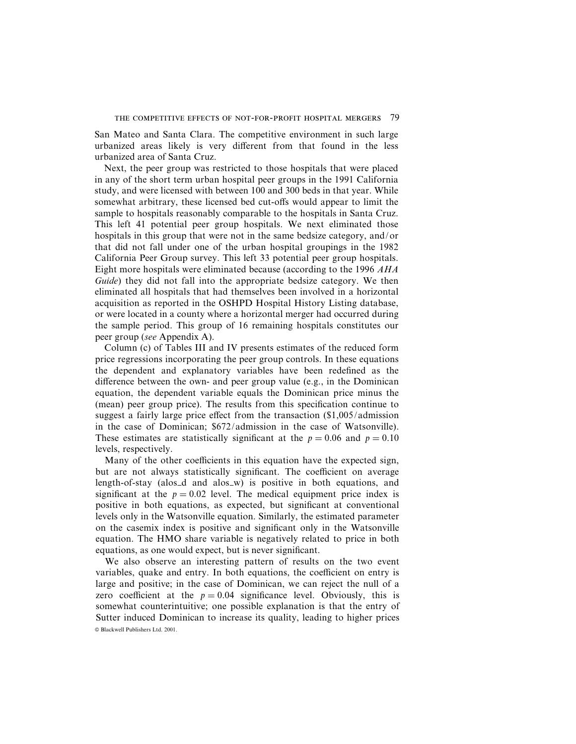San Mateo and Santa Clara. The competitive environment in such large urbanized areas likely is very different from that found in the less urbanized area of Santa Cruz.

Next, the peer group was restricted to those hospitals that were placed in any of the short term urban hospital peer groups in the 1991 California study, and were licensed with between 100 and 300 beds in that year. While somewhat arbitrary, these licensed bed cut-offs would appear to limit the sample to hospitals reasonably comparable to the hospitals in Santa Cruz. This left 41 potential peer group hospitals. We next eliminated those hospitals in this group that were not in the same bedsize category, and/or that did not fall under one of the urban hospital groupings in the 1982 California Peer Group survey. This left 33 potential peer group hospitals. Eight more hospitals were eliminated because (according to the 1996 AHA Guide) they did not fall into the appropriate bedsize category. We then eliminated all hospitals that had themselves been involved in a horizontal acquisition as reported in the OSHPD Hospital History Listing database, or were located in a county where a horizontal merger had occurred during the sample period. This group of 16 remaining hospitals constitutes our peer group (see Appendix A).

Column (c) of Tables III and IV presents estimates of the reduced form price regressions incorporating the peer group controls. In these equations the dependent and explanatory variables have been redefined as the difference between the own- and peer group value (e.g., in the Dominican equation, the dependent variable equals the Dominican price minus the (mean) peer group price). The results from this specification continue to suggest a fairly large price effect from the transaction  $(\$1,005/a$ dmission in the case of Dominican; \$672/admission in the case of Watsonville). These estimates are statistically significant at the  $p = 0.06$  and  $p = 0.10$ levels, respectively.

Many of the other coefficients in this equation have the expected sign, but are not always statistically significant. The coefficient on average length-of-stay (alos\_d and alos\_w) is positive in both equations, and significant at the  $p = 0.02$  level. The medical equipment price index is positive in both equations, as expected, but significant at conventional levels only in the Watsonville equation. Similarly, the estimated parameter on the casemix index is positive and significant only in the Watsonville equation. The HMO share variable is negatively related to price in both equations, as one would expect, but is never significant.

We also observe an interesting pattern of results on the two event variables, quake and entry. In both equations, the coefficient on entry is large and positive; in the case of Dominican, we can reject the null of a zero coefficient at the  $p = 0.04$  significance level. Obviously, this is somewhat counterintuitive; one possible explanation is that the entry of Sutter induced Dominican to increase its quality, leading to higher prices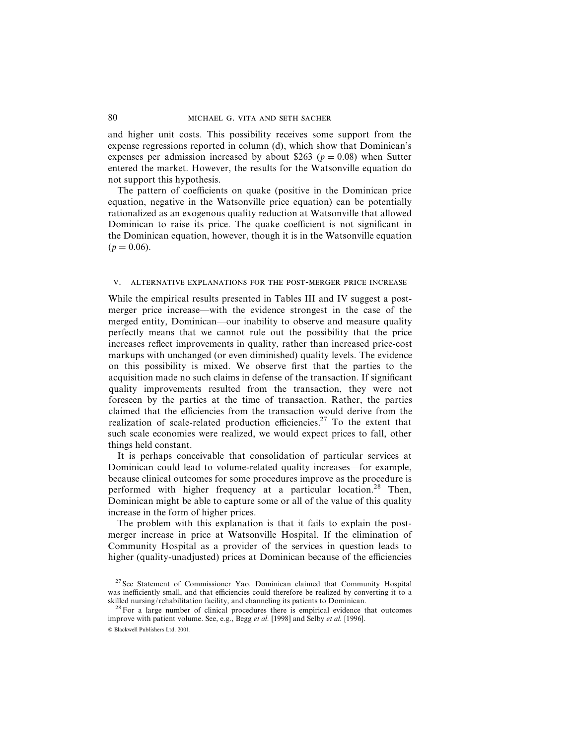and higher unit costs. This possibility receives some support from the expense regressions reported in column (d), which show that Dominican's expenses per admission increased by about \$263 ( $p = 0.08$ ) when Sutter entered the market. However, the results for the Watsonville equation do not support this hypothesis.

The pattern of coefficients on quake (positive in the Dominican price equation, negative in the Watsonville price equation) can be potentially rationalized as an exogenous quality reduction at Watsonville that allowed Dominican to raise its price. The quake coefficient is not significant in the Dominican equation, however, though it is in the Watsonville equation  $(p = 0.06)$ .

#### v. alternative explanations for the post-merger price increase

While the empirical results presented in Tables III and IV suggest a postmerger price increase—with the evidence strongest in the case of the merged entity, Dominican—our inability to observe and measure quality perfectly means that we cannot rule out the possibility that the price increases reflect improvements in quality, rather than increased price-cost markups with unchanged (or even diminished) quality levels. The evidence on this possibility is mixed. We observe first that the parties to the acquisition made no such claims in defense of the transaction. If significant quality improvements resulted from the transaction, they were not foreseen by the parties at the time of transaction. Rather, the parties claimed that the efficiencies from the transaction would derive from the realization of scale-related production efficiencies.<sup>27</sup> To the extent that such scale economies were realized, we would expect prices to fall, other things held constant.

It is perhaps conceivable that consolidation of particular services at Dominican could lead to volume-related quality increases—for example, because clinical outcomes for some procedures improve as the procedure is performed with higher frequency at a particular location.<sup>28</sup> Then, Dominican might be able to capture some or all of the value of this quality increase in the form of higher prices.

The problem with this explanation is that it fails to explain the postmerger increase in price at Watsonville Hospital. If the elimination of Community Hospital as a provider of the services in question leads to higher (quality-unadjusted) prices at Dominican because of the efficiencies

 $27$  See Statement of Commissioner Yao. Dominican claimed that Community Hospital was inefficiently small, and that efficiencies could therefore be realized by converting it to a skilled nursing/rehabilitation facility, and channeling its patients to Dominican.<br><sup>28</sup> For a large number of clinical procedures there is empirical evidence that outcomes

improve with patient volume. See, e.g., Begg et al. [1998] and Selby et al. [1996].

ß Blackwell Publishers Ltd. 2001.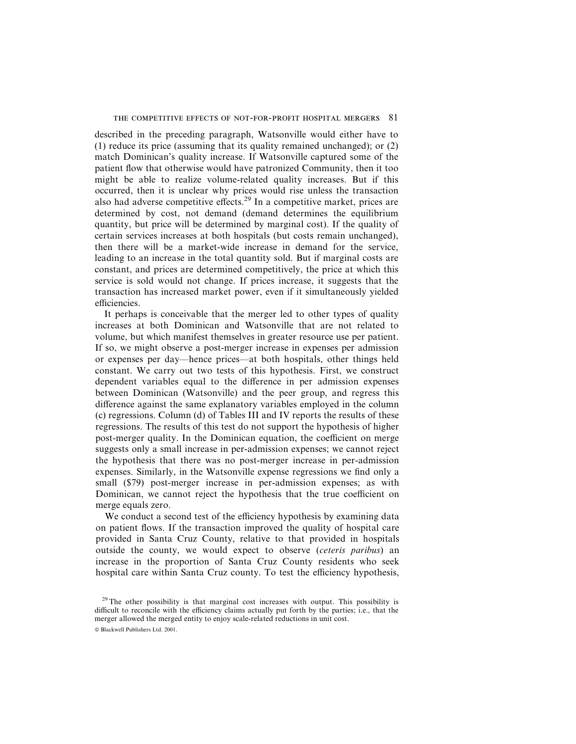described in the preceding paragraph, Watsonville would either have to (1) reduce its price (assuming that its quality remained unchanged); or (2) match Dominican's quality increase. If Watsonville captured some of the patient flow that otherwise would have patronized Community, then it too might be able to realize volume-related quality increases. But if this occurred, then it is unclear why prices would rise unless the transaction also had adverse competitive effects.<sup>29</sup> In a competitive market, prices are determined by cost, not demand (demand determines the equilibrium quantity, but price will be determined by marginal cost). If the quality of certain services increases at both hospitals (but costs remain unchanged), then there will be a market-wide increase in demand for the service, leading to an increase in the total quantity sold. But if marginal costs are constant, and prices are determined competitively, the price at which this service is sold would not change. If prices increase, it suggests that the transaction has increased market power, even if it simultaneously yielded efficiencies.

It perhaps is conceivable that the merger led to other types of quality increases at both Dominican and Watsonville that are not related to volume, but which manifest themselves in greater resource use per patient. If so, we might observe a post-merger increase in expenses per admission or expenses per day—hence prices—at both hospitals, other things held constant. We carry out two tests of this hypothesis. First, we construct dependent variables equal to the difference in per admission expenses between Dominican (Watsonville) and the peer group, and regress this difference against the same explanatory variables employed in the column (c) regressions. Column (d) of Tables III and IV reports the results of these regressions. The results of this test do not support the hypothesis of higher post-merger quality. In the Dominican equation, the coefficient on merge suggests only a small increase in per-admission expenses; we cannot reject the hypothesis that there was no post-merger increase in per-admission expenses. Similarly, in the Watsonville expense regressions we find only a small (\$79) post-merger increase in per-admission expenses; as with Dominican, we cannot reject the hypothesis that the true coefficient on merge equals zero.

We conduct a second test of the efficiency hypothesis by examining data on patient flows. If the transaction improved the quality of hospital care provided in Santa Cruz County, relative to that provided in hospitals outside the county, we would expect to observe (ceteris paribus) an increase in the proportion of Santa Cruz County residents who seek hospital care within Santa Cruz county. To test the efficiency hypothesis,

<sup>&</sup>lt;sup>29</sup> The other possibility is that marginal cost increases with output. This possibility is difficult to reconcile with the efficiency claims actually put forth by the parties; i.e., that the merger allowed the merged entity to enjoy scale-related reductions in unit cost.

ß Blackwell Publishers Ltd. 2001.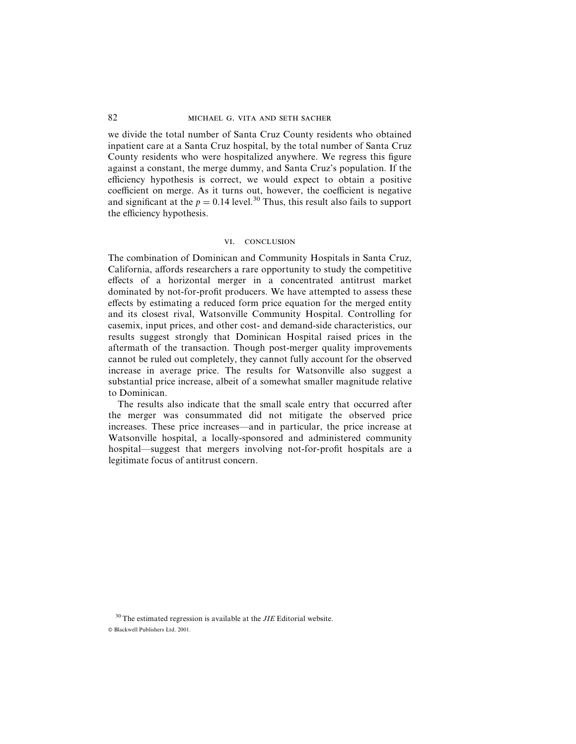we divide the total number of Santa Cruz County residents who obtained inpatient care at a Santa Cruz hospital, by the total number of Santa Cruz County residents who were hospitalized anywhere. We regress this figure against a constant, the merge dummy, and Santa Cruz's population. If the efficiency hypothesis is correct, we would expect to obtain a positive coefficient on merge. As it turns out, however, the coefficient is negative and significant at the  $p = 0.14$  level.<sup>30</sup> Thus, this result also fails to support the efficiency hypothesis.

### vi. conclusion

The combination of Dominican and Community Hospitals in Santa Cruz, California, affords researchers a rare opportunity to study the competitive effects of a horizontal merger in a concentrated antitrust market dominated by not-for-profit producers. We have attempted to assess these effects by estimating a reduced form price equation for the merged entity and its closest rival, Watsonville Community Hospital. Controlling for casemix, input prices, and other cost- and demand-side characteristics, our results suggest strongly that Dominican Hospital raised prices in the aftermath of the transaction. Though post-merger quality improvements cannot be ruled out completely, they cannot fully account for the observed increase in average price. The results for Watsonville also suggest a substantial price increase, albeit of a somewhat smaller magnitude relative to Dominican.

The results also indicate that the small scale entry that occurred after the merger was consummated did not mitigate the observed price increases. These price increases—and in particular, the price increase at Watsonville hospital, a locally-sponsored and administered community hospital—suggest that mergers involving not-for-profit hospitals are a legitimate focus of antitrust concern.

 $30$  The estimated regression is available at the *JIE* Editorial website.

ß Blackwell Publishers Ltd. 2001.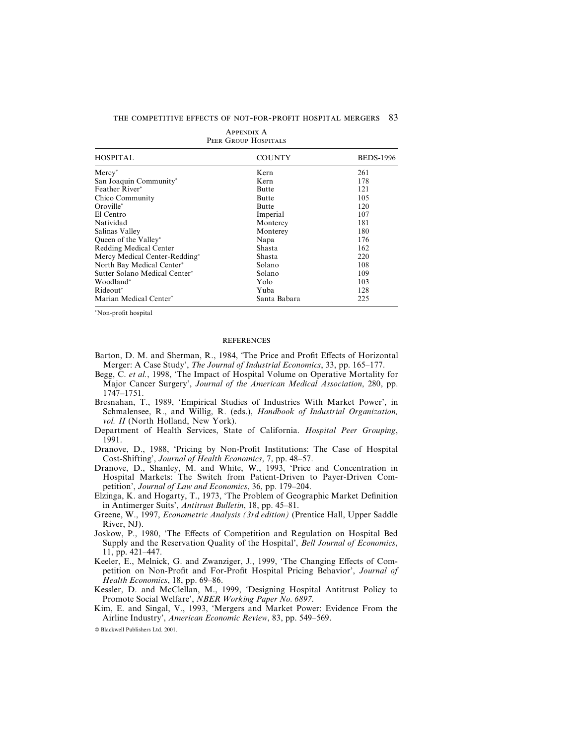| <b>HOSPITAL</b>               | <b>COUNTY</b> | <b>BEDS-1996</b> |
|-------------------------------|---------------|------------------|
| $Mercv^*$                     | Kern          | 261              |
| San Joaquin Community*        | Kern          | 178              |
| Feather River*                | <b>Butte</b>  | 121              |
| Chico Community               | <b>Butte</b>  | 105              |
| Oroville*                     | <b>Butte</b>  | 120              |
| El Centro                     | Imperial      | 107              |
| Natividad                     | Monterey      | 181              |
| Salinas Valley                | Monterey      | 180              |
| Queen of the Valley*          | Napa          | 176              |
| Redding Medical Center        | <b>Shasta</b> | 162              |
| Mercy Medical Center-Redding* | Shasta        | 220              |
| North Bay Medical Center*     | Solano        | 108              |
| Sutter Solano Medical Center* | Solano        | 109              |
| Woodland*                     | Yolo          | 103              |
| $R$ ideout $*$                | Yuba          | 128              |
| Marian Medical Center*        | Santa Babara  | 225              |

#### Appendix A Peer Group Hospitals

Non-pro¢t hospital

#### **REFERENCES**

- Barton, D. M. and Sherman, R., 1984, 'The Price and Profit Effects of Horizontal Merger: A Case Study', The Journal of Industrial Economics, 33, pp. 165-177.
- Begg, C. et al., 1998, 'The Impact of Hospital Volume on Operative Mortality for Major Cancer Surgery', Journal of the American Medical Association, 280, pp. 1747^1751.
- Bresnahan, T., 1989, `Empirical Studies of Industries With Market Power', in Schmalensee, R., and Willig, R. (eds.), Handbook of Industrial Organization, vol. II (North Holland, New York).
- Department of Health Services, State of California. Hospital Peer Grouping, 1991.
- Dranove, D., 1988, 'Pricing by Non-Profit Institutions: The Case of Hospital Cost-Shifting', Journal of Health Economics, 7, pp. 48^57.
- Dranove, D., Shanley, M. and White, W., 1993, 'Price and Concentration in Hospital Markets: The Switch from Patient-Driven to Payer-Driven Competition', Journal of Law and Economics, 36, pp. 179-204.
- Elzinga, K. and Hogarty, T., 1973, 'The Problem of Geographic Market Definition in Antimerger Suits', Antitrust Bulletin, 18, pp. 45–81.
- Greene, W., 1997, Econometric Analysis (3rd edition) (Prentice Hall, Upper Saddle River, NJ).
- Joskow, P., 1980, 'The Effects of Competition and Regulation on Hospital Bed Supply and the Reservation Quality of the Hospital', Bell Journal of Economics, 11, pp. 421^447.
- Keeler, E., Melnick, G. and Zwanziger, J., 1999, 'The Changing Effects of Competition on Non-Profit and For-Profit Hospital Pricing Behavior', Journal of Health Economics, 18, pp. 69-86.
- Kessler, D. and McClellan, M., 1999, `Designing Hospital Antitrust Policy to Promote Social Welfare', NBER Working Paper No. 6897.
- Kim, E. and Singal, V., 1993, `Mergers and Market Power: Evidence From the Airline Industry', American Economic Review, 83, pp. 549-569.